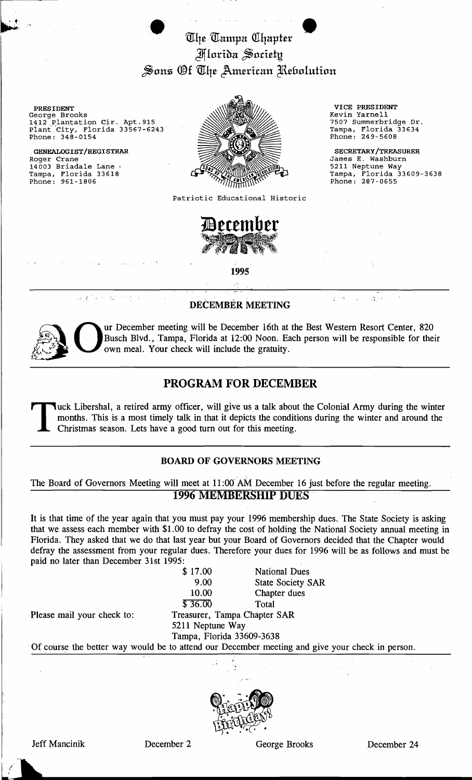The Tampa Chapter Jlflori~n ~oddt! Sons Of The American Rebolution

e···· e

PRESIDENT VICE PRESIDENT (PRESIDENT VICE PRESIDENT VICE PRESIDENT)<br>George Brooks (Revin Yarnell) 1412 Plantation Cir. Apt. 915 1412 7507 Summerbridge Dr.  $\sum_{\text{Plant City, Florida 33567-6243}}$   $\sum_{\text{ampa, Florida 33634}}$ Phone: 348-0154 **Phone: 249-5608** 

14003 Briadale Lane .<br>Tampa, Florida 33618 Phone:  $961 - 1806$ 



Patriotic Educational Historic



1995'

 $\mathcal{A}$  ,  $C$  ,  $\mathcal{A}$  , and  $\mathcal{A}$  , where  $\mathcal{A}$ 

## DECEMBER MEETING

.., .  $15 - 7$ 

James E. Washburn<br>5211 Neptune Way

Tampa, Florida 33609-3638<br>Phone: 287-0655



Our December meeting will be December 16th at the Best Western Resort Center, 820 Busch Blvd., Tampa, Florida at 12:00 Noon. Each person will be responsible for the own meal. Your check will include the gratuity. Busch Blvd., Tampa, Florida at 12:00 Noon. Each person will be responsible for their own meal. Your check will include the gratuity.

## PROGRAM FOR DECEMBER

Tuck Libershal, a retired army officer, will give us a talk about the Colonial Army during the winter months. This is a most timely talk in that it depicts the conditions during the winter and around the Christmas season. Lets have a good turn out for this meeting.

## BOARD OF GOVERNORS MEETING

The Board of Governors Meeting will meet at 11 :00' AM December 16 just before the regular meeting. 1996 MEMBERSHIP DUES'

It is that time of the year again that you must pay your 1996 membership dues. The State Society is asking that we assess each member with \$1.00 to defray the cost of holding the National Society annual meeting in Florida. They asked that we do that last year but your Board of Governors decided that the Chapter would defray the assessment from your regular dues. Therefore your dues for 1996 will be as follows and must be paid no later than December 31st 1995:

|                                                            | \$17.00          | <b>National Dues</b>                                                                            |  |
|------------------------------------------------------------|------------------|-------------------------------------------------------------------------------------------------|--|
|                                                            | 9.00             | <b>State Society SAR</b>                                                                        |  |
|                                                            | 10.00            | Chapter dues                                                                                    |  |
|                                                            | \$36.00          | Total                                                                                           |  |
| Please mail your check to:<br>Treasurer, Tampa Chapter SAR |                  |                                                                                                 |  |
|                                                            | 5211 Neptune Way |                                                                                                 |  |
| Tampa, Florida 33609-3638                                  |                  |                                                                                                 |  |
|                                                            |                  | Of course the better way would be to attend our December meeting and give your check in person. |  |



 $\mathcal{L}$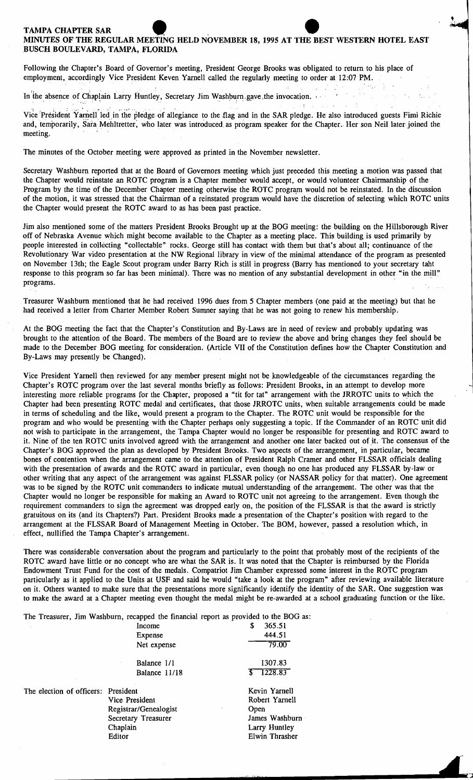## TAMPA CHAPTER SAR<br>MINUTES OF THE REGULAR MEETING HELD NOVEMBER 18, 1995 AT THE BEST WESTERN HOTEL EAST<br>BUSCH BOULEVARD, TAMPA, FLORIDA MINUTES OF THE REGULAR MEETING HELD NOVEMBER 18, 1995 AT THE BEST WESTERN HOTEL EAST BUSCH BOULEVARD, TAMPA, FLORIDA

Following the Chapter's Board of Governor's meeting, President George Brooks was obligated to return to his place of employment, accordingly Vice President Keven Yarnell called the regularly meeting to order at 12:07 PM.

In the absence of Chaplain Larry Huntley, Secretary Jim Washburn gave the invocation.

Vice 'President Yarnell led in the pledge of allegiance to the flag and in the SAR pledge. He also introduced guests Fimi Richie and, temporarily, Sara Mehltretter, who later was introduced as program speaker for the Chapter. Her son Neil later joined the meeting.

The minutes of the October meeting were approved as printed in the November newsletter.

Secretary Washburn reported that at the Board of Governors meeting which just preceded this meeting a motion was passed that the Chapter would reinstate an ROTC program is a Chapter member would accept, or would volunteer Chairmanship of the Program by the time of the December Chapter meeting otherwise the ROTC program would not be reinstated. In the discussion of the motion, it was stressed that the Chairman of a reinstated program would have the discretion of selecting which ROTC units the Chapter would present the ROTC award to as has been past practice.

Jim also mentioned some of the matters President Brooks Brought up at the BOG meeting: the building on the Hillsborough River off of Nebraska Avenue which might become available to the Chapter as a meeting place. This building is used primarily by people interested in collecting "collectable" rocks. George still has contact with them but that's about all; continuance of the Revolutionary War video presentation at the NW Regional library in view of the minimal attendance of the program as presented on November 13th; the Eagle Scout program under Barry Rich is still in progress (Barry has mentioned to your secretary taht response to this program so far has been minimal). There was no mention of any substantial development in other "in the mill" programs.

Treasurer Washburn mentioned that he had received 1996 dues from 5 Chapter members (one paid at the meeting) but that he had received a letter from Charter Member Robert Sumner saying that he was not going to renew his membership.

At the BOG meeting the fact that the Chapter's Constitution and By-Laws are in need of review and probably updating was brought to the attention of the Board. The members of the Board are to review the above and bring changes they feel should be made to the December BOG meeting for consideration. (Article VII of the Constitution defines how the Chapter Constitution and By-Laws may presently be Changed).

Vice President Yamell then reviewed for any member present might not be knowledgeable of the circumstances regarding the Chapter's ROTC program over the last several months briefly as follows: President Brooks, in an attempt to develop more interesting more reliable programs for the Chapter, proposed a "tit for tat" arrangement with the JRROTC units to which the Chapter had been presenting ROTC medal and certificates, that those JRROTC units, when suitable arrangements could be made in terms of scheduling and the like, would present a program to the Chapter. The ROTC unit would be responsible for the program and who would be presenting with the Chapter perhaps only suggesting a topic. If the Commander of an ROTC unit did not wish to participate in the arrangement, the Tampa Chapter would no longer be responsible for presenting and ROTC award to it. Nine of the ten ROTC units involved agreed with the arrangement and another one later backed out of it. The consensus of the Chapter's BOG approved the plan as developed by President Brooks. Two aspects of the arrangement, in particular, became bones of contention when the arrangement came to the attention of President Ralph Cramer and other FLSSAR officials dealing with the presentation of awards and the ROTC award in particular, even though no one has produced any FLSSAR by-law or other writing that any aspect of the arrangement was against FLSSAR policy (or NASSAR policy for that matter). One agreement was to be signed by the ROTC unit commanders to indicate mutual understanding of the arrangement. The other was that the Chapter would no longer be responsible for making an Award to ROTC unit not agreeing to the arrangement. Even though the requirement commanders to sign the agreement was dropped early on, the position of the FLSSAR is that the award is strictly gratuitous on its (and its Chapters?) Part. President Brooks made a presentation of the Chapter's position with regard to the arrangement at the FLSSAR Board of Management Meeting in October. The BOM, however, passed a resolution which, in effect, nullified the Tampa Chapter's arrangement.

There was considerable conversation about the program and particularly to the point that probably most of the recipients of the ROTC award have little or no concept who are what the SAR is. It was noted that the Chapter is reimbursed by the Florida Endowment Trust Fund for the cost of the medals. Compatriot Jim Chamber expressed some interest in the ROTC program particularly as it applied to the Units at USF and said he would "take a look at the program" after reviewing available literature on it. Others wanted to make sure that the presentations more significantly identify the identity of the SAR. One suggestion was to make the award at a Chapter meeting even thought the medal might be re-awarded at a school graduating function or the like.

The Treasurer, Jim Washburn, recapped the financial report as provided to the BOG as: Income \$ 365.51

|                                     | Expense               | 444.51         |
|-------------------------------------|-----------------------|----------------|
|                                     | Net expense           | 79.00          |
|                                     | Balance 1/1           | 1307.83        |
|                                     | Balance 11/18         | 1228.83        |
| The election of officers: President |                       | Kevin Yarnell  |
|                                     | Vice President        | Robert Yarnell |
|                                     | Registrar/Genealogist | Open           |
|                                     | Secretary Treasurer   | James Washburn |
|                                     | Chaplain              | Larry Huntley  |
|                                     | Editor                | Elwin Thrasher |
|                                     |                       |                |